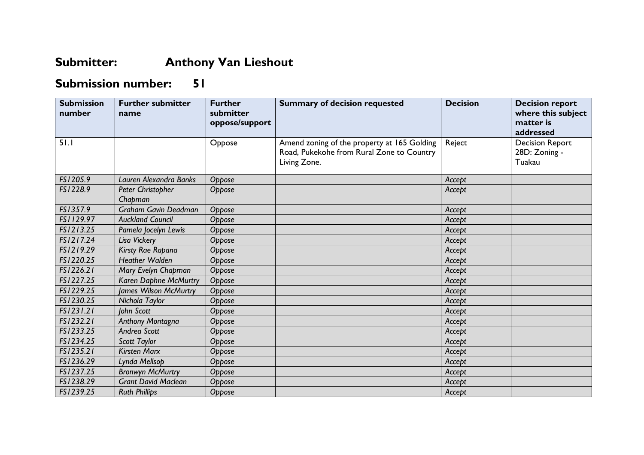## **Submitter: Anthony Van Lieshout**

## **Submission number: 51**

| <b>Submission</b><br>number | <b>Further submitter</b><br>name | <b>Further</b><br>submitter<br>oppose/support | <b>Summary of decision requested</b>                                                                     | <b>Decision</b> | <b>Decision report</b><br>where this subject<br>matter is<br>addressed |
|-----------------------------|----------------------------------|-----------------------------------------------|----------------------------------------------------------------------------------------------------------|-----------------|------------------------------------------------------------------------|
| 51.1                        |                                  | Oppose                                        | Amend zoning of the property at 165 Golding<br>Road, Pukekohe from Rural Zone to Country<br>Living Zone. | Reject          | <b>Decision Report</b><br>28D: Zoning -<br>Tuakau                      |
| FS1205.9                    | Lauren Alexandra Banks           | Oppose                                        |                                                                                                          | Accept          |                                                                        |
| FS1228.9                    | Peter Christopher<br>Chapman     | Oppose                                        |                                                                                                          | Accept          |                                                                        |
| FS1357.9                    | Graham Gavin Deadman             | Oppose                                        |                                                                                                          | Accept          |                                                                        |
| FS1129.97                   | <b>Auckland Council</b>          | Oppose                                        |                                                                                                          | Accept          |                                                                        |
| FS1213.25                   | Pamela Jocelyn Lewis             | Oppose                                        |                                                                                                          | Accept          |                                                                        |
| FS1217.24                   | Lisa Vickery                     | Oppose                                        |                                                                                                          | Accept          |                                                                        |
| FS1219.29                   | Kirsty Rae Rapana                | Oppose                                        |                                                                                                          | Accept          |                                                                        |
| FS1220.25                   | <b>Heather Walden</b>            | Oppose                                        |                                                                                                          | Accept          |                                                                        |
| FS1226.21                   | Mary Evelyn Chapman              | Oppose                                        |                                                                                                          | Accept          |                                                                        |
| FS1227.25                   | Karen Daphne McMurtry            | Oppose                                        |                                                                                                          | Accept          |                                                                        |
| FS1229.25                   | <b>James Wilson McMurtry</b>     | Oppose                                        |                                                                                                          | Accept          |                                                                        |
| FS1230.25                   | Nichola Taylor                   | Oppose                                        |                                                                                                          | Accept          |                                                                        |
| FS1231.21                   | John Scott                       | Oppose                                        |                                                                                                          | Accept          |                                                                        |
| FS1232.21                   | Anthony Montagna                 | Oppose                                        |                                                                                                          | Accept          |                                                                        |
| FS1233.25                   | Andrea Scott                     | Oppose                                        |                                                                                                          | Accept          |                                                                        |
| FS1234.25                   | Scott Taylor                     | Oppose                                        |                                                                                                          | Accept          |                                                                        |
| FS1235.21                   | <b>Kirsten Marx</b>              | Oppose                                        |                                                                                                          | Accept          |                                                                        |
| FS1236.29                   | Lynda Mellsop                    | Oppose                                        |                                                                                                          | Accept          |                                                                        |
| FS1237.25                   | <b>Bronwyn McMurtry</b>          | Oppose                                        |                                                                                                          | Accept          |                                                                        |
| FS1238.29                   | <b>Grant David Maclean</b>       | Oppose                                        |                                                                                                          | Accept          |                                                                        |
| FS1239.25                   | <b>Ruth Phillips</b>             | Oppose                                        |                                                                                                          | Accept          |                                                                        |